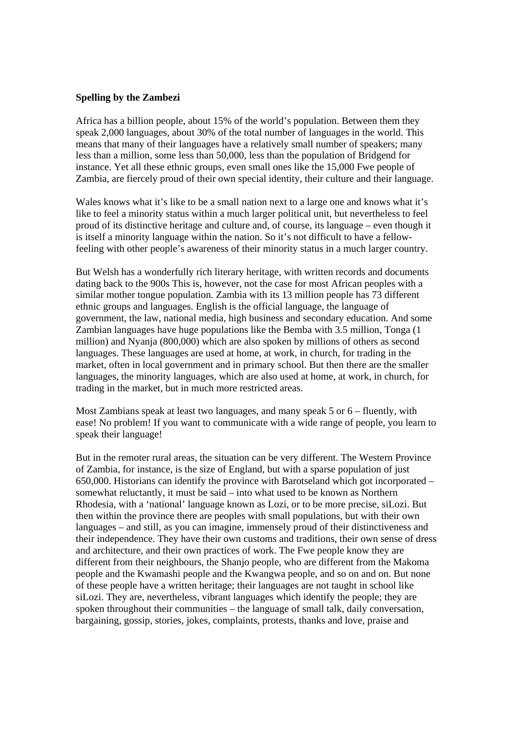## **Spelling by the Zambezi**

Africa has a billion people, about 15% of the world's population. Between them they speak 2,000 languages, about 30% of the total number of languages in the world. This means that many of their languages have a relatively small number of speakers; many less than a million, some less than 50,000, less than the population of Bridgend for instance. Yet all these ethnic groups, even small ones like the 15,000 Fwe people of Zambia, are fiercely proud of their own special identity, their culture and their language.

Wales knows what it's like to be a small nation next to a large one and knows what it's like to feel a minority status within a much larger political unit, but nevertheless to feel proud of its distinctive heritage and culture and, of course, its language – even though it is itself a minority language within the nation. So it's not difficult to have a fellowfeeling with other people's awareness of their minority status in a much larger country.

But Welsh has a wonderfully rich literary heritage, with written records and documents dating back to the 900s This is, however, not the case for most African peoples with a similar mother tongue population. Zambia with its 13 million people has 73 different ethnic groups and languages. English is the official language, the language of government, the law, national media, high business and secondary education. And some Zambian languages have huge populations like the Bemba with 3.5 million, Tonga (1 million) and Nyanja (800,000) which are also spoken by millions of others as second languages. These languages are used at home, at work, in church, for trading in the market, often in local government and in primary school. But then there are the smaller languages, the minority languages, which are also used at home, at work, in church, for trading in the market, but in much more restricted areas.

Most Zambians speak at least two languages, and many speak 5 or 6 – fluently, with ease! No problem! If you want to communicate with a wide range of people, you learn to speak their language!

But in the remoter rural areas, the situation can be very different. The Western Province of Zambia, for instance, is the size of England, but with a sparse population of just 650,000. Historians can identify the province with Barotseland which got incorporated – somewhat reluctantly, it must be said – into what used to be known as Northern Rhodesia, with a 'national' language known as Lozi, or to be more precise, siLozi. But then within the province there are peoples with small populations, but with their own languages – and still, as you can imagine, immensely proud of their distinctiveness and their independence. They have their own customs and traditions, their own sense of dress and architecture, and their own practices of work. The Fwe people know they are different from their neighbours, the Shanjo people, who are different from the Makoma people and the Kwamashi people and the Kwangwa people, and so on and on. But none of these people have a written heritage; their languages are not taught in school like siLozi. They are, nevertheless, vibrant languages which identify the people; they are spoken throughout their communities – the language of small talk, daily conversation, bargaining, gossip, stories, jokes, complaints, protests, thanks and love, praise and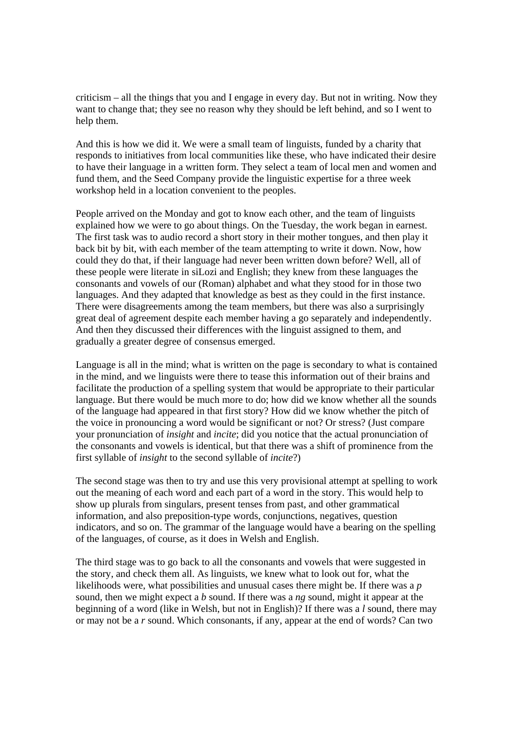criticism – all the things that you and I engage in every day. But not in writing. Now they want to change that; they see no reason why they should be left behind, and so I went to help them.

And this is how we did it. We were a small team of linguists, funded by a charity that responds to initiatives from local communities like these, who have indicated their desire to have their language in a written form. They select a team of local men and women and fund them, and the Seed Company provide the linguistic expertise for a three week workshop held in a location convenient to the peoples.

People arrived on the Monday and got to know each other, and the team of linguists explained how we were to go about things. On the Tuesday, the work began in earnest. The first task was to audio record a short story in their mother tongues, and then play it back bit by bit, with each member of the team attempting to write it down. Now, how could they do that, if their language had never been written down before? Well, all of these people were literate in siLozi and English; they knew from these languages the consonants and vowels of our (Roman) alphabet and what they stood for in those two languages. And they adapted that knowledge as best as they could in the first instance. There were disagreements among the team members, but there was also a surprisingly great deal of agreement despite each member having a go separately and independently. And then they discussed their differences with the linguist assigned to them, and gradually a greater degree of consensus emerged.

Language is all in the mind; what is written on the page is secondary to what is contained in the mind, and we linguists were there to tease this information out of their brains and facilitate the production of a spelling system that would be appropriate to their particular language. But there would be much more to do; how did we know whether all the sounds of the language had appeared in that first story? How did we know whether the pitch of the voice in pronouncing a word would be significant or not? Or stress? (Just compare your pronunciation of *insight* and *incite*; did you notice that the actual pronunciation of the consonants and vowels is identical, but that there was a shift of prominence from the first syllable of *insight* to the second syllable of *incite*?)

The second stage was then to try and use this very provisional attempt at spelling to work out the meaning of each word and each part of a word in the story. This would help to show up plurals from singulars, present tenses from past, and other grammatical information, and also preposition-type words, conjunctions, negatives, question indicators, and so on. The grammar of the language would have a bearing on the spelling of the languages, of course, as it does in Welsh and English.

The third stage was to go back to all the consonants and vowels that were suggested in the story, and check them all. As linguists, we knew what to look out for, what the likelihoods were, what possibilities and unusual cases there might be. If there was a *p* sound, then we might expect a *b* sound. If there was a *ng* sound, might it appear at the beginning of a word (like in Welsh, but not in English)? If there was a *l* sound, there may or may not be a *r* sound. Which consonants, if any, appear at the end of words? Can two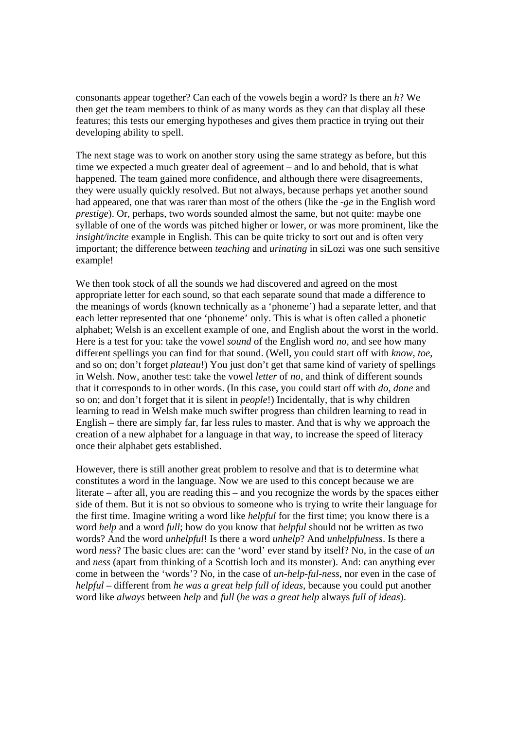consonants appear together? Can each of the vowels begin a word? Is there an *h*? We then get the team members to think of as many words as they can that display all these features; this tests our emerging hypotheses and gives them practice in trying out their developing ability to spell.

The next stage was to work on another story using the same strategy as before, but this time we expected a much greater deal of agreement – and lo and behold, that is what happened. The team gained more confidence, and although there were disagreements, they were usually quickly resolved. But not always, because perhaps yet another sound had appeared, one that was rarer than most of the others (like the *-ge* in the English word *prestige*). Or, perhaps, two words sounded almost the same, but not quite: maybe one syllable of one of the words was pitched higher or lower, or was more prominent, like the *insight/incite* example in English. This can be quite tricky to sort out and is often very important; the difference between *teaching* and *urinating* in siLozi was one such sensitive example!

We then took stock of all the sounds we had discovered and agreed on the most appropriate letter for each sound, so that each separate sound that made a difference to the meanings of words (known technically as a 'phoneme') had a separate letter, and that each letter represented that one 'phoneme' only. This is what is often called a phonetic alphabet; Welsh is an excellent example of one, and English about the worst in the world. Here is a test for you: take the vowel *sound* of the English word *no*, and see how many different spellings you can find for that sound. (Well, you could start off with *know*, *toe*, and so on; don't forget *plateau*!) You just don't get that same kind of variety of spellings in Welsh. Now, another test: take the vowel *letter* of *no*, and think of different sounds that it corresponds to in other words. (In this case, you could start off with *do*, *done* and so on; and don't forget that it is silent in *people*!) Incidentally, that is why children learning to read in Welsh make much swifter progress than children learning to read in English – there are simply far, far less rules to master. And that is why we approach the creation of a new alphabet for a language in that way, to increase the speed of literacy once their alphabet gets established.

However, there is still another great problem to resolve and that is to determine what constitutes a word in the language. Now we are used to this concept because we are literate – after all, you are reading this – and you recognize the words by the spaces either side of them. But it is not so obvious to someone who is trying to write their language for the first time. Imagine writing a word like *helpful* for the first time; you know there is a word *help* and a word *full*; how do you know that *helpful* should not be written as two words? And the word *unhelpful*! Is there a word *unhelp*? And *unhelpfulness*. Is there a word *ness*? The basic clues are: can the 'word' ever stand by itself? No, in the case of *un* and *ness* (apart from thinking of a Scottish loch and its monster). And: can anything ever come in between the 'words'? No, in the case of *un-help-ful-ness*, nor even in the case of *helpful* – different from *he was a great help full of ideas*, because you could put another word like *always* between *help* and *full* (*he was a great help* always *full of ideas*).